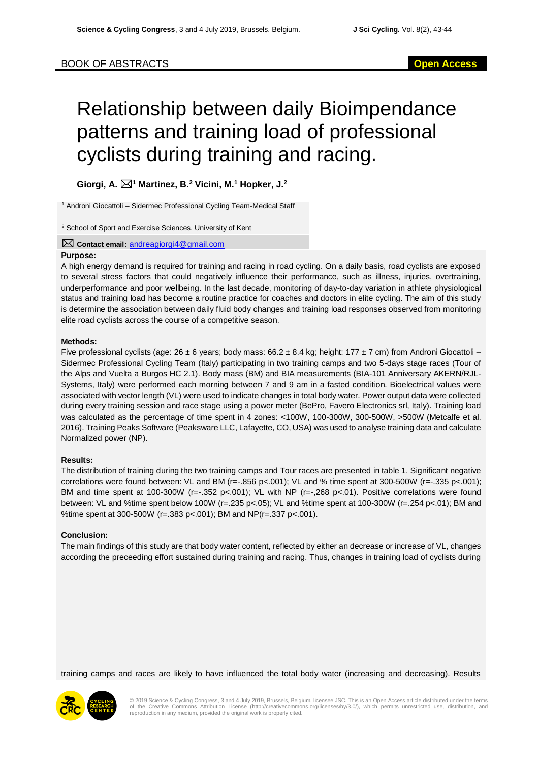# Relationship between daily Bioimpendance patterns and training load of professional cyclists during training and racing.

**Giorgi, A. <sup>1</sup> Martinez, B.<sup>2</sup> Vicini, M.<sup>1</sup> Hopker, J.<sup>2</sup>**

<sup>1</sup> Androni Giocattoli – Sidermec Professional Cycling Team-Medical Staff

<sup>2</sup> School of Sport and Exercise Sciences, University of Kent

## **Contact email:** [andreagiorgi4@gmail.com](mailto:andreagiorgi4@gmail.com)

## **Purpose:**

A high energy demand is required for training and racing in road cycling. On a daily basis, road cyclists are exposed to several stress factors that could negatively influence their performance, such as illness, injuries, overtraining, underperformance and poor wellbeing. In the last decade, monitoring of day-to-day variation in athlete physiological status and training load has become a routine practice for coaches and doctors in elite cycling. The aim of this study is determine the association between daily fluid body changes and training load responses observed from monitoring elite road cyclists across the course of a competitive season.

#### **Methods:**

Five professional cyclists (age: 26 ± 6 years; body mass: 66.2 ± 8.4 kg; height: 177 ± 7 cm) from Androni Giocattoli – Sidermec Professional Cycling Team (Italy) participating in two training camps and two 5-days stage races (Tour of the Alps and Vuelta a Burgos HC 2.1). Body mass (BM) and BIA measurements (BIA-101 Anniversary AKERN/RJL-Systems, Italy) were performed each morning between 7 and 9 am in a fasted condition. Bioelectrical values were associated with vector length (VL) were used to indicate changes in total body water. Power output data were collected during every training session and race stage using a power meter (BePro, Favero Electronics srl, Italy). Training load was calculated as the percentage of time spent in 4 zones: <100W, 100-300W, 300-500W, >500W (Metcalfe et al. 2016). Training Peaks Software (Peaksware LLC, Lafayette, CO, USA) was used to analyse training data and calculate Normalized power (NP).

# **Results:**

The distribution of training during the two training camps and Tour races are presented in table 1. Significant negative correlations were found between: VL and BM (r=-.856 p<.001); VL and % time spent at 300-500W (r=-.335 p<.001); BM and time spent at 100-300W (r=-.352 p<.001); VL with NP (r=-,268 p<.01). Positive correlations were found between: VL and %time spent below 100W (r=.235 p<.05); VL and %time spent at 100-300W (r=.254 p<.01); BM and %time spent at 300-500W (r=.383 p<.001); BM and NP(r=.337 p<.001).

#### **Conclusion:**

The main findings of this study are that body water content, reflected by either an decrease or increase of VL, changes according the preceeding effort sustained during training and racing. Thus, changes in training load of cyclists during

training camps and races are likely to have influenced the total body water (increasing and decreasing). Results